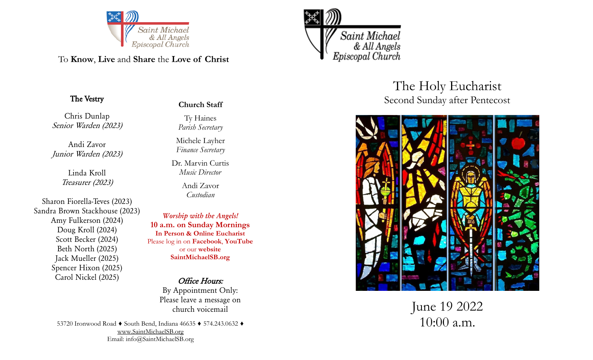

To **Know**, **Live** and **Share** the **Love of Christ**

## *The Vestry*

*Chris Dunlap Senior Warden (2023)*

*Andi Zavor Junior Warden (2023)*

> *Linda Kroll Treasurer (2023)*

*Sharon Fiorella -Teves (2023) Sandra Brown Stackhouse (2023) Amy Fulkerson (2024) Doug Kroll (2024) Scott Becker (2024) Beth North (2025) Jack Mueller (2025) Spencer Hixon (2025) Carol Nickel (2025)*

# **Church Staff**

Ty Haines *Parish Secretary*

Michele Layher *Finance Secretary*

Dr. Marvin Curtis *Music Director*

> Andi Zavor *Custodian*

*Worship with the Angels!* **10 a.m. on Sunday Mornings In Person & Online Eucharist** Please log in on **Facebook**, **YouTube**  or our **website SaintMichaelSB.org** 

> *Office Hours: By Appointment Only: Please leave a message on church voicemail*

12 Email: info@SaintMichaelSB.org 53720 Ironwood Road ♦ South Bend, Indiana 46635 ♦ 574.243.0632 ♦ [www.SaintMichaelSB.org](http://www.SaintMichaelSB.org)



The Holy Eucharist Second Sunday after Pentecost



June 19 2022 10:00 a.m.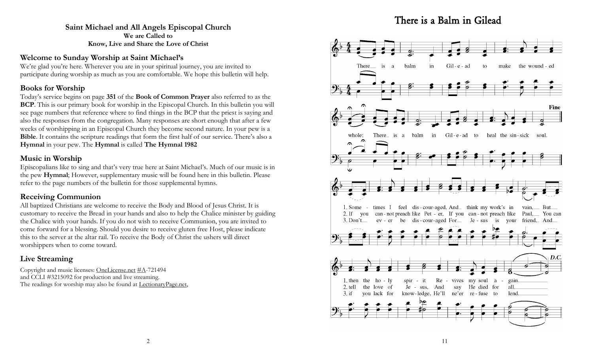# *There is a Balm in Gilead*

## **Saint Michael and All Angels Episcopal Church We are Called to Know, Live and Share the Love of Christ**

## **Welcome to Sunday Worship at Saint Michael's**

We're glad you're here. Wherever you are in your spiritual journey, you are invited to participate during worship as much as you are comfortable. We hope this bulletin will help.

## **Books for Worship**

Today's service begins on page **351** of the **Book of Common Prayer** also referred to as the **BCP**. This is our primary book for worship in the Episcopal Church. In this bulletin you will see page numbers that reference where to find things in the BCP that the priest is saying and also the responses from the congregation. Many responses are short enough that after a few weeks of worshipping in an Episcopal Church they become second nature. In your pew is a **Bible**. It contains the scripture readings that form the first half of our service. There's also a **Hymnal** in your pew. The **Hymnal** is called **The Hymnal 1982** 

## **Music in Worship**

Episcopalians like to sing and that's very true here at Saint Michael's. Much of our music is in the pew **Hymnal**; However, supplementary music will be found here in this bulletin. Please refer to the page numbers of the bulletin for those supplemental hymns.

## **Receiving Communion**

All baptized Christians are welcome to receive the Body and Blood of Jesus Christ. It is customary to receive the Bread in your hands and also to help the Chalice minister by guiding the Chalice with your hands. If you do not wish to receive Communion, you are invited to come forward for a blessing. Should you desire to receive gluten free Host, please indicate this to the server at the altar rail. To receive the Body of Christ the ushers will direct worshippers when to come toward.

## **Live Streaming**

Copyright and music licenses: [OneLicense.net](https://l.facebook.com/l.php?u=http%3A%2F%2FOneLicense.net%2F%3Ffbclid%3DIwAR17RaitHpplHEA4-3Faal3VSz1GIJ4egGI1cLyZZIyh909vEL00X28QnXA&h=AT2PsvmIeEXcpxJNFfeQTidsiks_ESjsVglLEQjNdxu61m9o1NLTete_Ke0ZgLkwRGx8rQoamAlJmVtyPylApP4u6N8Yj_ydGCqeKylMS_UBLji5gARbvvP8un) [#A-](https://www.facebook.com/hashtag/a?__eep__=6&__cft__%5B0%5D=AZXRuN4ClhVtToVAgg2OHjbQ6X_g5qhVNpxRoAk_DaIBdig0Mi1bQEpltRN-2RDXxv9ZKmdseWZCfQGhxhItzU6HVZJa5S2ifzZBMemxp_YYQJKmwE6h_IC0IPbqCbtBJslPFBq6GPlWymBSkqcvjNU067lhQUzJI3qpOBzYPOR1Gtfmk6Im7z4a0Nu5OMwh3C8&__t)721494 and CCLI #3215092 for production and live streaming. The readings for worship may also be found at [LectionaryPage.net,](https://l.facebook.com/l.php?u=http%3A%2F%2FLectionaryPage.net%2F%3Ffbclid%3DIwAR0FkoSJO4G2DxsccDhNNnqcZlMcnDZzWlQAh0EEXqnQG9Bfi1SIfLb9t2E&h=AT3zpqF7eqETkdcLLiR4tHepnbMuawYBibW-8mw-YT4ajA5fg7Jn4V0ywbNzzkp74Tnpdn-pxaQ41_vaoByV0MY3myIxu4F8wSdDnabITM7HzCFCRRWbct)

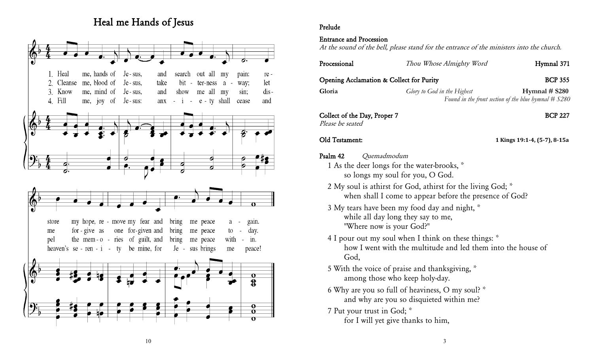# *Heal me Hands of Jesus*



## *Prelude*

#### *Entrance and Procession*

*At the sound of the bell, please stand for the entrance of the ministers into the church.*

| Processional                                                                                                                                                                 | Thou Whose Almighty Word                                                                                                                                                | Hymnal 371                                                               |
|------------------------------------------------------------------------------------------------------------------------------------------------------------------------------|-------------------------------------------------------------------------------------------------------------------------------------------------------------------------|--------------------------------------------------------------------------|
| Opening Acclamation & Collect for Purity                                                                                                                                     |                                                                                                                                                                         | <b>BCP 355</b>                                                           |
| Gloria                                                                                                                                                                       | Glory to God in the Highest                                                                                                                                             | Hymnal $#$ S280<br>Found in the front section of the blue hymnal $#S280$ |
| Collect of the Day, Proper 7<br>Please be seated                                                                                                                             |                                                                                                                                                                         | <b>BCP 227</b>                                                           |
| Old Testament:                                                                                                                                                               |                                                                                                                                                                         | 1 Kings 19:1-4, (5-7), 8-15a                                             |
| Psalm 42<br>Quemadmodum<br>1 As the deer longs for the water-brooks, *<br>so longs my soul for you, O God.<br>while all day long they say to me,<br>"Where now is your God?" | 2 My soul is athirst for God, athirst for the living God; *<br>when shall I come to appear before the presence of God?<br>3 My tears have been my food day and night, * |                                                                          |
| God,                                                                                                                                                                         | 4 I pour out my soul when I think on these things: *<br>how I went with the multitude and led them into the house of                                                    |                                                                          |
| among those who keep holy-day.                                                                                                                                               | 5 With the voice of praise and thanksgiving, *                                                                                                                          |                                                                          |
|                                                                                                                                                                              | 6 Why are you so full of heaviness, O my soul? *<br>and why are you so disquieted within me?                                                                            |                                                                          |
| 7 Put your trust in God; *<br>for I will yet give thanks to him,                                                                                                             |                                                                                                                                                                         |                                                                          |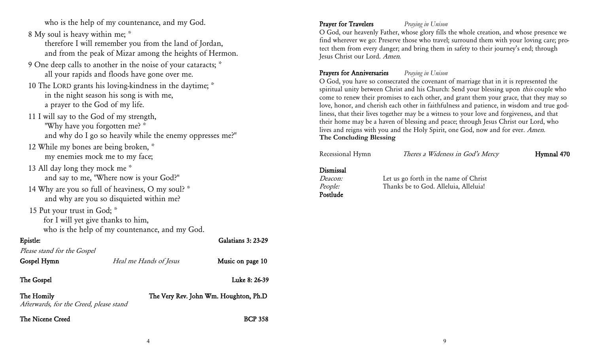*who is the help of my countenance, and my God.*

*8 My soul is heavy within me; \**

*therefore I will remember you from the land of Jordan, and from the peak of Mizar among the heights of Hermon.*

- *9 One deep calls to another in the noise of your cataracts; \* all your rapids and floods have gone over me.*
- *10 The LORD grants his loving-kindness in the daytime; \* in the night season his song is with me, a prayer to the God of my life.*

*11 I will say to the God of my strength, "Why have you forgotten me? \* and why do I go so heavily while the enemy oppresses me?"*

- *12 While my bones are being broken, \* my enemies mock me to my face;*
- *13 All day long they mock me \* and say to me, "Where now is your God?"*
- *14 Why are you so full of heaviness, O my soul? \* and why are you so disquieted within me?*

 *15 Put your trust in God; \**

*for I will yet give thanks to him, who is the help of my countenance, and my God.*

## *Epistle: Galatians 3: 23-29*

| Please stand for the Gospel                           |                        |                                       |
|-------------------------------------------------------|------------------------|---------------------------------------|
| Gospel Hymn                                           | Heal me Hands of Jesus | Music on page 10                      |
| The Gospel                                            |                        | Luke 8: 26-39                         |
| The Homily<br>Afterwards, for the Creed, please stand |                        | The Very Rev. John Wm. Houghton, Ph.D |
| The Nicene Creed                                      |                        | <b>BCP 358</b>                        |

## *Prayer for Travelers Praying in Unison*

*O God, our heavenly Father, whose glory fills the whole creation, and whose presence we find wherever we go: Preserve those who travel; surround them with your loving care; protect them from every danger; and bring them in safety to their journey's end; through Jesus Christ our Lord. Amen.*

## *Prayers for Anniversaries Praying in Unison*

*O God, you have so consecrated the covenant of marriage that in it is represented the spiritual unity between Christ and his Church: Send your blessing upon this couple who come to renew their promises to each other, and grant them your grace, that they may so love, honor, and cherish each other in faithfulness and patience, in wisdom and true godliness, that their lives together may be a witness to your love and forgiveness, and that their home may be a haven of blessing and peace; through Jesus Christ our Lord, who*  lives and reigns with you and the Holy Spirit, one God, now and for ever. *Amen.* **The Concluding Blessing**

| Recessional Hymn                                   | Theres a Wideness in God's Mercy                                               | Hymnal 470 |
|----------------------------------------------------|--------------------------------------------------------------------------------|------------|
| Dismissal<br><i>Deacon:</i><br>People:<br>Postlude | Let us go forth in the name of Christ<br>Thanks be to God. Alleluia, Alleluia! |            |
|                                                    |                                                                                |            |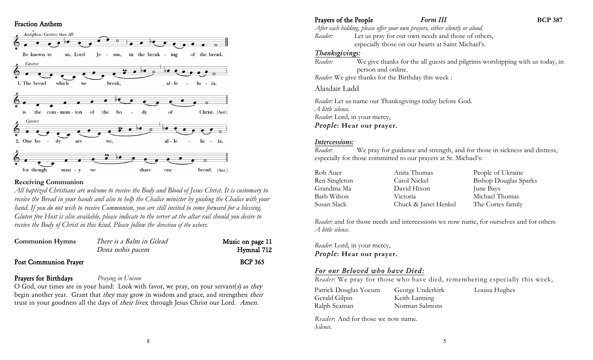#### *Fraction Anthem*



#### **Receiving Communion**

*All baptized Christians are welcome to receive the Body and Blood of Jesus Christ. It is customary to receive the Bread in your hands and also to help the Chalice minister by guiding the Chalice with your hand. If you do not wish to receive Communion, you are still invited to come forward for a blessing. Gluten free Host is also available, please indicate to the server at the altar rail should you desire to receive the Body of Christ in this kind. Please follow the direction of the ushers.*

| <b>Communion Hymns</b>       | There is a Balm in Gilead | Music on page 11 |
|------------------------------|---------------------------|------------------|
|                              | Dona nobis pacem          | Hymnal 712       |
| <b>Post Communion Prayer</b> |                           | <b>BCP 365</b>   |

#### *Prayers for Birthdays Praying in Unison*

*O God, our times are in your hand: Look with favor, we pray, on your servant(s) as they begin another year. Grant that they may grow in wisdom and grace, and strengthen their trust in your goodness all the days of their lives; through Jesus Christ our Lord. Amen.*

8

#### **Prayers of the People** *Form III* **BCP** 387 *After each bidding, please offer your own prayers, either silently or aloud. Reader:* Let us pray for our own needs and those of others, especially those on our hearts at Saint Michael's.

#### *Thanksgivings:*

*Reader:* We give thanks for the all guests and pilgrims worshipping with us today, in person and online. *Reader*: We give thanks for the Birthday this week :

#### Alasdair Ladd

*Reader:* Let us name our Thanksgivings today before God. *A little silence. Reader*: Lord, in your mercy, *People***: Hear our prayer.**

#### *Intercessions:*

*Reader*: We pray for guidance and strength, and for those in sickness and distress, especially for those committed to our prayers at St. Michael's:

| Rob Auer      | Anita Thomas         | People of Ukraine            |
|---------------|----------------------|------------------------------|
| Ren Singleton | Carol Nickel         | <b>Bishop Douglas Sparks</b> |
| Grandma Ma    | David Hixon          | June Bays                    |
| Barb Wilson   | Victoria             | Michael Thomas               |
| Susan Slack   | Chuck & Janet Henkel | The Cortes family            |

*Reader:* and for those needs and intercessions we now name, for ourselves and for others *A little silence.* 

*Reader*: Lord, in your mercy, *People***: Hear our prayer.**

## *For our Beloved who have Died:*

*Reader*: We pray for those who have died, remembering especially this week,

| Patrick Douglas Yocum | George Underkirk |
|-----------------------|------------------|
| Gerald Gilpin         | Keith Lanning    |
| Ralph Seaman          | Norman Salmons   |

*Reader*: And for those we now name. *Silence.* 

Louisa Hughes